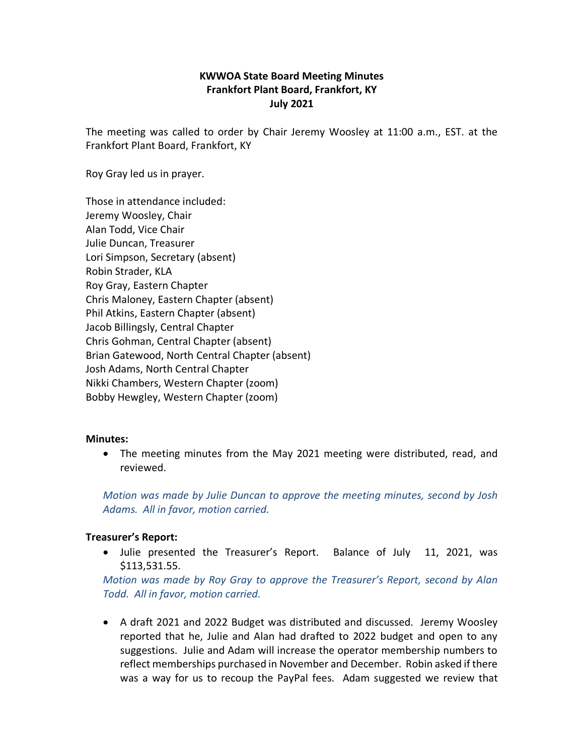# **KWWOA State Board Meeting Minutes Frankfort Plant Board, Frankfort, KY July 2021**

The meeting was called to order by Chair Jeremy Woosley at 11:00 a.m., EST. at the Frankfort Plant Board, Frankfort, KY

Roy Gray led us in prayer.

Those in attendance included: Jeremy Woosley, Chair Alan Todd, Vice Chair Julie Duncan, Treasurer Lori Simpson, Secretary (absent) Robin Strader, KLA Roy Gray, Eastern Chapter Chris Maloney, Eastern Chapter (absent) Phil Atkins, Eastern Chapter (absent) Jacob Billingsly, Central Chapter Chris Gohman, Central Chapter (absent) Brian Gatewood, North Central Chapter (absent) Josh Adams, North Central Chapter Nikki Chambers, Western Chapter (zoom) Bobby Hewgley, Western Chapter (zoom)

#### **Minutes:**

• The meeting minutes from the May 2021 meeting were distributed, read, and reviewed.

*Motion was made by Julie Duncan to approve the meeting minutes, second by Josh Adams. All in favor, motion carried.* 

## **Treasurer's Report:**

• Julie presented the Treasurer's Report. Balance of July 11, 2021, was \$113,531.55.

*Motion was made by Roy Gray to approve the Treasurer's Report, second by Alan Todd. All in favor, motion carried.*

• A draft 2021 and 2022 Budget was distributed and discussed. Jeremy Woosley reported that he, Julie and Alan had drafted to 2022 budget and open to any suggestions. Julie and Adam will increase the operator membership numbers to reflect memberships purchased in November and December. Robin asked if there was a way for us to recoup the PayPal fees. Adam suggested we review that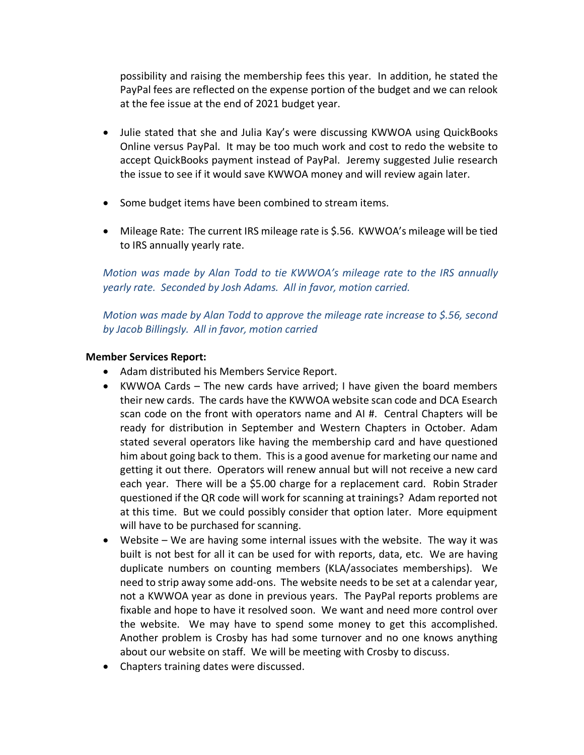possibility and raising the membership fees this year. In addition, he stated the PayPal fees are reflected on the expense portion of the budget and we can relook at the fee issue at the end of 2021 budget year.

- Julie stated that she and Julia Kay's were discussing KWWOA using QuickBooks Online versus PayPal. It may be too much work and cost to redo the website to accept QuickBooks payment instead of PayPal. Jeremy suggested Julie research the issue to see if it would save KWWOA money and will review again later.
- Some budget items have been combined to stream items.
- Mileage Rate: The current IRS mileage rate is \$.56. KWWOA's mileage will be tied to IRS annually yearly rate.

*Motion was made by Alan Todd to tie KWWOA's mileage rate to the IRS annually yearly rate. Seconded by Josh Adams. All in favor, motion carried.*

*Motion was made by Alan Todd to approve the mileage rate increase to \$.56, second by Jacob Billingsly. All in favor, motion carried*

## **Member Services Report:**

- Adam distributed his Members Service Report.
- KWWOA Cards The new cards have arrived; I have given the board members their new cards. The cards have the KWWOA website scan code and DCA Esearch scan code on the front with operators name and AI #. Central Chapters will be ready for distribution in September and Western Chapters in October. Adam stated several operators like having the membership card and have questioned him about going back to them. This is a good avenue for marketing our name and getting it out there. Operators will renew annual but will not receive a new card each year. There will be a \$5.00 charge for a replacement card. Robin Strader questioned if the QR code will work for scanning at trainings? Adam reported not at this time. But we could possibly consider that option later. More equipment will have to be purchased for scanning.
- Website We are having some internal issues with the website. The way it was built is not best for all it can be used for with reports, data, etc. We are having duplicate numbers on counting members (KLA/associates memberships). We need to strip away some add-ons. The website needs to be set at a calendar year, not a KWWOA year as done in previous years. The PayPal reports problems are fixable and hope to have it resolved soon. We want and need more control over the website. We may have to spend some money to get this accomplished. Another problem is Crosby has had some turnover and no one knows anything about our website on staff. We will be meeting with Crosby to discuss.
- Chapters training dates were discussed.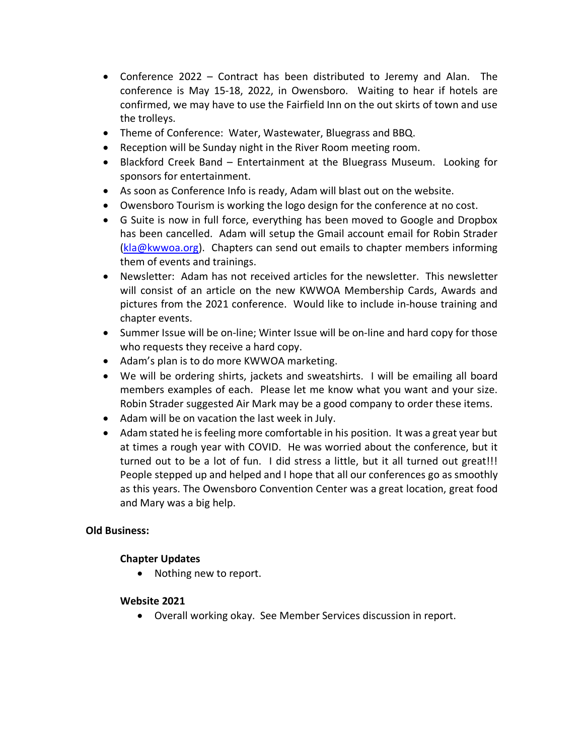- Conference 2022 Contract has been distributed to Jeremy and Alan. The conference is May 15-18, 2022, in Owensboro. Waiting to hear if hotels are confirmed, we may have to use the Fairfield Inn on the out skirts of town and use the trolleys.
- Theme of Conference: Water, Wastewater, Bluegrass and BBQ.
- Reception will be Sunday night in the River Room meeting room.
- Blackford Creek Band Entertainment at the Bluegrass Museum. Looking for sponsors for entertainment.
- As soon as Conference Info is ready, Adam will blast out on the website.
- Owensboro Tourism is working the logo design for the conference at no cost.
- G Suite is now in full force, everything has been moved to Google and Dropbox has been cancelled. Adam will setup the Gmail account email for Robin Strader [\(kla@kwwoa.org\)](mailto:kla@kwwoa.org). Chapters can send out emails to chapter members informing them of events and trainings.
- Newsletter: Adam has not received articles for the newsletter. This newsletter will consist of an article on the new KWWOA Membership Cards, Awards and pictures from the 2021 conference. Would like to include in-house training and chapter events.
- Summer Issue will be on-line; Winter Issue will be on-line and hard copy for those who requests they receive a hard copy.
- Adam's plan is to do more KWWOA marketing.
- We will be ordering shirts, jackets and sweatshirts. I will be emailing all board members examples of each. Please let me know what you want and your size. Robin Strader suggested Air Mark may be a good company to order these items.
- Adam will be on vacation the last week in July.
- Adam stated he is feeling more comfortable in his position. It was a great year but at times a rough year with COVID. He was worried about the conference, but it turned out to be a lot of fun. I did stress a little, but it all turned out great!!! People stepped up and helped and I hope that all our conferences go as smoothly as this years. The Owensboro Convention Center was a great location, great food and Mary was a big help.

# **Old Business:**

## **Chapter Updates**

• Nothing new to report.

## **Website 2021**

• Overall working okay. See Member Services discussion in report.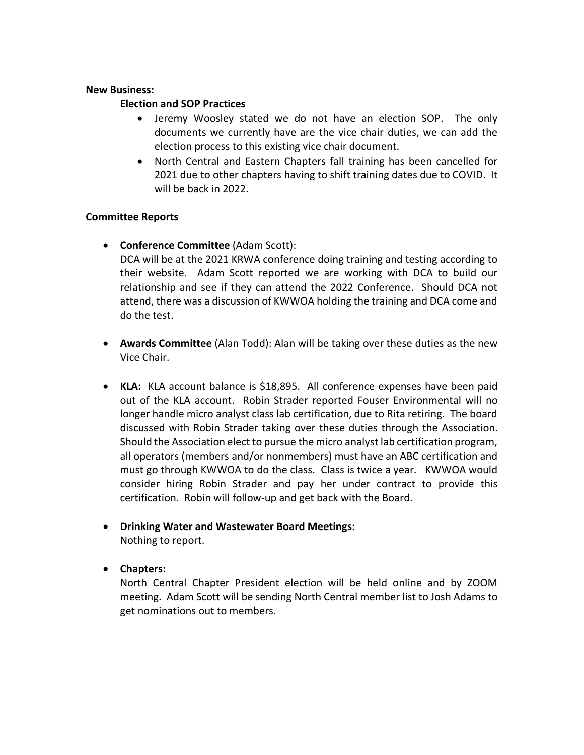#### **New Business:**

### **Election and SOP Practices**

- Jeremy Woosley stated we do not have an election SOP. The only documents we currently have are the vice chair duties, we can add the election process to this existing vice chair document.
- North Central and Eastern Chapters fall training has been cancelled for 2021 due to other chapters having to shift training dates due to COVID. It will be back in 2022.

### **Committee Reports**

• **Conference Committee** (Adam Scott):

DCA will be at the 2021 KRWA conference doing training and testing according to their website. Adam Scott reported we are working with DCA to build our relationship and see if they can attend the 2022 Conference. Should DCA not attend, there was a discussion of KWWOA holding the training and DCA come and do the test.

- **Awards Committee** (Alan Todd): Alan will be taking over these duties as the new Vice Chair.
- **KLA:** KLA account balance is \$18,895. All conference expenses have been paid out of the KLA account. Robin Strader reported Fouser Environmental will no longer handle micro analyst class lab certification, due to Rita retiring. The board discussed with Robin Strader taking over these duties through the Association. Should the Association elect to pursue the micro analyst lab certification program, all operators (members and/or nonmembers) must have an ABC certification and must go through KWWOA to do the class. Class is twice a year. KWWOA would consider hiring Robin Strader and pay her under contract to provide this certification. Robin will follow-up and get back with the Board.
- **Drinking Water and Wastewater Board Meetings:** Nothing to report.
- **Chapters:**

North Central Chapter President election will be held online and by ZOOM meeting. Adam Scott will be sending North Central member list to Josh Adams to get nominations out to members.